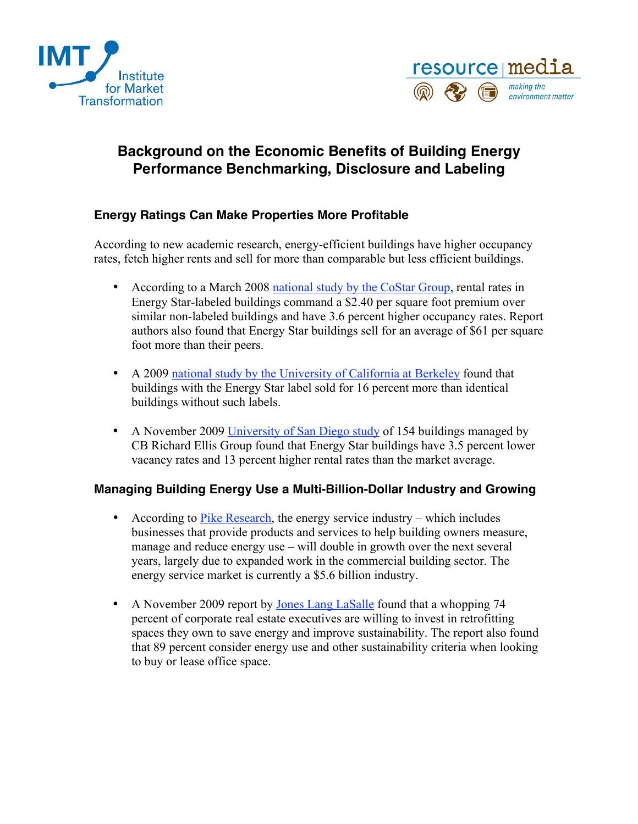



## **Background on the Economic Benefits of Building Energy Performance Benchmarking, Disclosure and Labeling**

## **Energy Ratings Can Make Properties More Profitable**

According to new academic research, energy-efficient buildings have higher occupancy rates, fetch higher rents and sell for more than comparable but less efficient buildings.

- According to a March 2008 [national study by the CoStar Group,](http://www.costar.com/News/Article.aspx?id=D968F1E0DCF73712B03A099E0E99C679) rental rates in Energy Star-labeled buildings command a \$2.40 per square foot premium over similar non-labeled buildings and have 3.6 percent higher occupancy rates. Report authors also found that Energy Star buildings sell for an average of \$61 per square foot more than their peers.
- A 2009 [national study by the University of California at Berkeley](http://urbanpolicy.berkeley.edu/pdf/EKQ_green_buildings_JMQ_050709.pdf) found that buildings with the Energy Star label sold for 16 percent more than identical buildings without such labels.
- A November 2009 [University of San Diego study](http://www.cbre.com/EN/AboutUs/MediaCentre/2009/Pages/110209.aspx) of 154 buildings managed by CB Richard Ellis Group found that Energy Star buildings have 3.5 percent lower vacancy rates and 13 percent higher rental rates than the market average.

## **Managing Building Energy Use a Multi-Billion-Dollar Industry and Growing**

- According to [Pike Research,](http://www.pikeresearch.com/research/the-u-s-energy-service-company-market) the energy service industry which includes businesses that provide products and services to help building owners measure, manage and reduce energy use – will double in growth over the next several years, largely due to expanded work in the commercial building sector. The energy service market is currently a \$5.6 billion industry.
- A November 2009 report by [Jones Lang LaSalle](http://www.joneslanglasalle.com/Pages/NewsItem.aspx?ItemID=18110) found that a whopping 74 percent of corporate real estate executives are willing to invest in retrofitting spaces they own to save energy and improve sustainability. The report also found that 89 percent consider energy use and other sustainability criteria when looking to buy or lease office space.